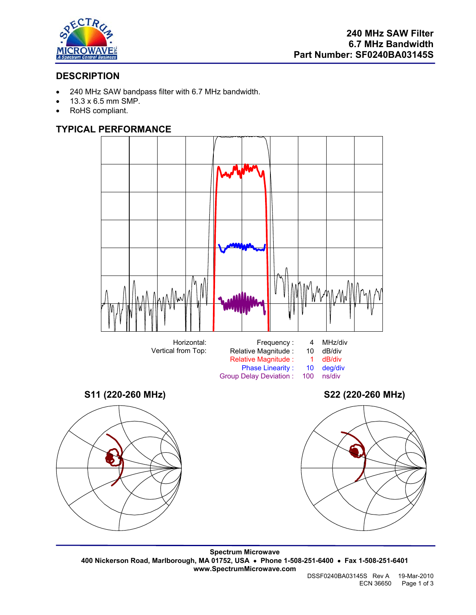

# **DESCRIPTION**

- 240 MHz SAW bandpass filter with 6.7 MHz bandwidth.
- 13.3 x 6.5 mm SMP.
- RoHS compliant.

## **TYPICAL PERFORMANCE**



**Spectrum Microwave 400 Nickerson Road, Marlborough, MA 01752, USA** • **Phone 1-508-251-6400** • **Fax 1-508-251-6401 www.SpectrumMicrowave.com**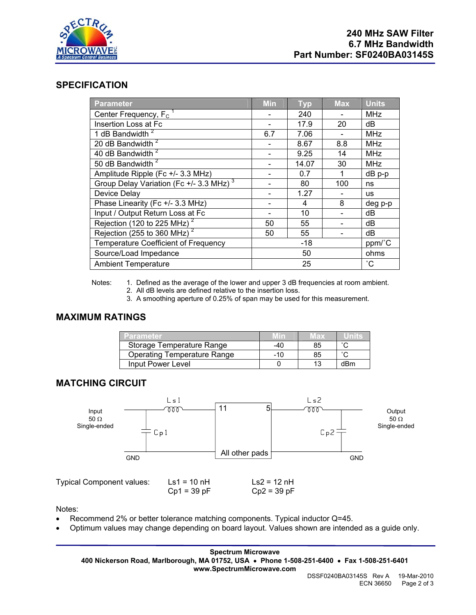

#### **SPECIFICATION**

| <b>Parameter</b>                                    | <b>Min</b> | <b>Typ</b> | <b>Max</b>      | <b>Units</b> |
|-----------------------------------------------------|------------|------------|-----------------|--------------|
| Center Frequency, F <sub>C</sub>                    |            | 240        |                 | <b>MHz</b>   |
| Insertion Loss at Fc                                |            | 17.9       | 20              | dВ           |
| 1 dB Bandwidth <sup>2</sup>                         | 6.7        | 7.06       |                 | <b>MHz</b>   |
| 20 dB Bandwidth <sup>2</sup>                        |            | 8.67       | 8.8             | <b>MHz</b>   |
| 40 dB Bandwidth <sup>2</sup>                        |            | 9.25       | 14              | <b>MHz</b>   |
| 50 dB Bandwidth <sup>2</sup>                        |            | 14.07      | 30              | <b>MHz</b>   |
| Amplitude Ripple (Fc +/- 3.3 MHz)                   |            | 0.7        | 1               | $dB$ $p-p$   |
| Group Delay Variation (Fc +/- 3.3 MHz) <sup>3</sup> |            | 80         | 100             | ns           |
| Device Delay                                        |            | 1.27       |                 | <b>us</b>    |
| Phase Linearity (Fc +/- 3.3 MHz)                    |            | 4          | 8               | deg p-p      |
| Input / Output Return Loss at Fc                    |            | 10         |                 | dB           |
| Rejection (120 to 225 MHz) <sup>2</sup>             | 50         | 55         |                 | dB           |
| Rejection (255 to 360 MHz) $^2$                     | 50         | 55         |                 | dB           |
| Temperature Coefficient of Frequency                | $-18$      |            | ppm/°C          |              |
| Source/Load Impedance                               | 50         |            | ohms            |              |
| <b>Ambient Temperature</b>                          | 25         |            | $\rm ^{\circ}C$ |              |

Notes: 1. Defined as the average of the lower and upper 3 dB frequencies at room ambient.

- 2. All dB levels are defined relative to the insertion loss.
- 3. A smoothing aperture of 0.25% of span may be used for this measurement.

## **MAXIMUM RATINGS**

| <b>12arameter</b>                  |       | และ |        |
|------------------------------------|-------|-----|--------|
| Storage Temperature Range          | -40   | 85  | $\sim$ |
| <b>Operating Temperature Range</b> | $-10$ | 85  | $\sim$ |
| Input Power Level                  |       | 12  | dBm    |

### **MATCHING CIRCUIT**



Typical Component values:  $Ls1 = 10 \text{ nH}$   $Ls2 = 12 \text{ nH}$ <br>Cp1 = 39 pF  $Cp2 = 39 \text{ pF}$  $Cp1 = 39 pF$ 

Notes:

- Recommend 2% or better tolerance matching components. Typical inductor Q=45.
- Optimum values may change depending on board layout. Values shown are intended as a guide only.